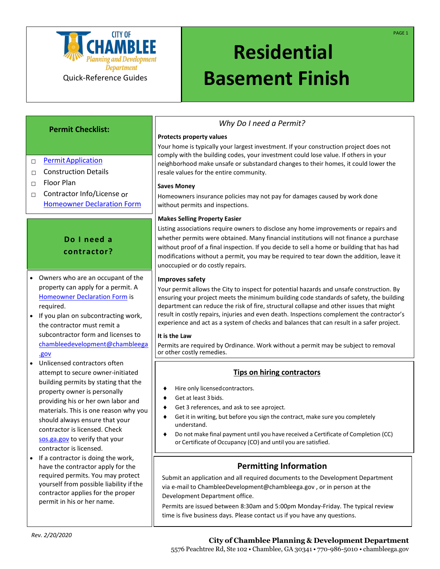

# **Residential Basement Finish**

## **Permit Checklist:**

- □ Permit Application
- $\Box$  Construction Details
- □ Floor Plan
- □ Contractor Info/License or [Homeowner Declaration](http://www.chambleega.gov/DocumentCenter/View/1680) Form

# **Do I need a contractor?**

- Owners who are an occupant of the property can apply for a permit. A [Homeowner Declaration Form](http://www.chambleega.gov/DocumentCenter/View/1680) is required.
- If you plan on subcontracting work, the contractor must remit a subcontractor form and licenses to [chambleedevelopment@chambleega](chambleedevelopment@chambleega.gov) [.gov](chambleedevelopment@chambleega.gov)
- Unlicensed contractors often attempt to secure owner-initiated building permits by stating that the property owner is personally providing his or her own labor and materials. This is one reason why you should always ensure that your contractor is licensed. Check <sos.ga.gov> to verify that your contractor is licensed.
- If a contractor is doing the work, have the contractor apply for the required permits. You may protect yourself from possible liability if the contractor applies for the proper permit in his or her name.

## *Why Do I need a Permit?*

## **Protects property values**

Your home is typically your largest investment. If your construction project does not comply with the building codes, your investment could lose value. If others in your neighborhood make unsafe or substandard changes to their homes, it could lower the resale values for the entire community.

## **Saves Money**

Homeowners insurance policies may not pay for damages caused by work done without permits and inspections.

## **Makes Selling Property Easier**

Listing associations require owners to disclose any home improvements or repairs and whether permits were obtained. Many financial institutions will not finance a purchase without proof of a final inspection. If you decide to sell a home or building that has had modifications without a permit, you may be required to tear down the addition, leave it unoccupied or do costly repairs.

## **Improves safety**

Your permit allows the City to inspect for potential hazards and unsafe construction. By ensuring your project meets the minimum building code standards of safety, the building department can reduce the risk of fire, structural collapse and other issues that might result in costly repairs, injuries and even death. Inspections complement the contractor's experience and act as a system of checks and balances that can result in a safer project.

## **It is the Law**

Permits are required by Ordinance. Work without a permit may be subject to removal or other costly remedies.

## **Tips on hiring contractors**

- Hire only licensedcontractors.
- ◆ Get at least 3 bids.
- Get 3 references, and ask to see aproject.
- Get it in writing, but before you sign the contract, make sure you completely understand.

**If a contractor is doing the work, have the contractor apply forthe required**

 Do not make final payment until you have received a Certificate of Completion (CC) or Certificate of Occupancy (CO) and until you are satisfied.

## **Permitting Information**

Submit an application and all required documents to the Development Department via e-mail to ChambleeDevelopment@chambleega.gov , or in person at the Development Department office.

Permits are issued between 8:30am and 5:00pm Monday-Friday. The typical review time is five business days. Please contact us if you have any questions.